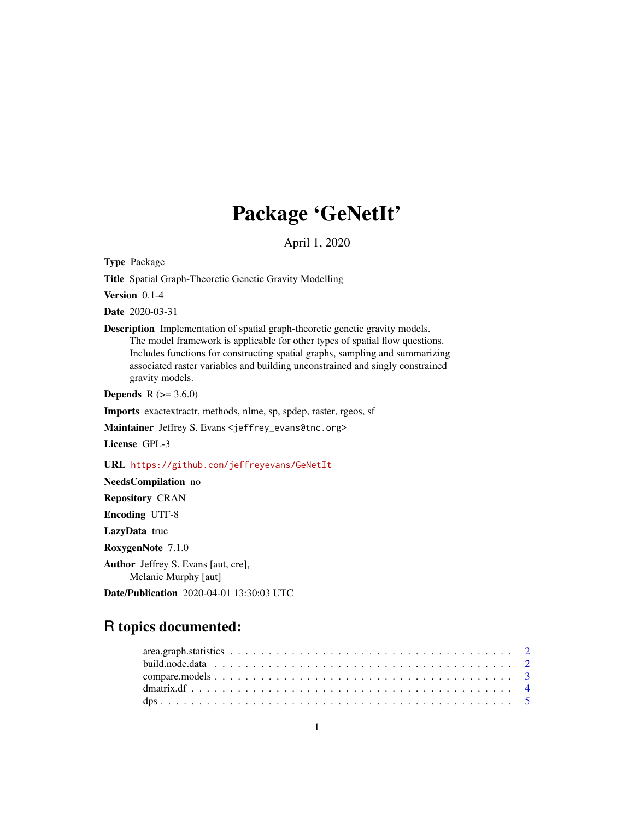# Package 'GeNetIt'

April 1, 2020

<span id="page-0-0"></span>Type Package

Title Spatial Graph-Theoretic Genetic Gravity Modelling

Version 0.1-4

Date 2020-03-31

Description Implementation of spatial graph-theoretic genetic gravity models. The model framework is applicable for other types of spatial flow questions. Includes functions for constructing spatial graphs, sampling and summarizing associated raster variables and building unconstrained and singly constrained gravity models.

**Depends** R  $(>= 3.6.0)$ 

Imports exactextractr, methods, nlme, sp, spdep, raster, rgeos, sf

Maintainer Jeffrey S. Evans <jeffrey\_evans@tnc.org>

License GPL-3

URL <https://github.com/jeffreyevans/GeNetIt>

NeedsCompilation no Repository CRAN Encoding UTF-8 LazyData true RoxygenNote 7.1.0 Author Jeffrey S. Evans [aut, cre], Melanie Murphy [aut] Date/Publication 2020-04-01 13:30:03 UTC

# R topics documented: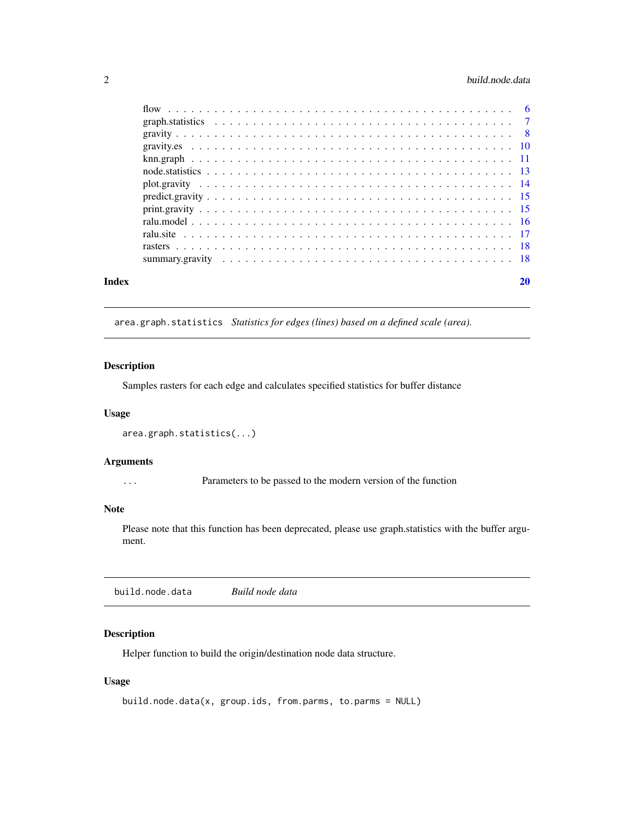# <span id="page-1-0"></span>2 build.node.data

| Index | 20 |
|-------|----|
|       |    |
|       |    |
|       |    |
|       |    |
|       |    |
|       |    |
|       |    |
|       |    |
|       |    |
|       |    |
|       |    |
|       |    |
|       |    |

area.graph.statistics *Statistics for edges (lines) based on a defined scale (area).*

#### Description

Samples rasters for each edge and calculates specified statistics for buffer distance

#### Usage

```
area.graph.statistics(...)
```
# Arguments

... Parameters to be passed to the modern version of the function

# Note

Please note that this function has been deprecated, please use graph.statistics with the buffer argument.

build.node.data *Build node data*

# Description

Helper function to build the origin/destination node data structure.

# Usage

```
build.node.data(x, group.ids, from.parms, to.parms = NULL)
```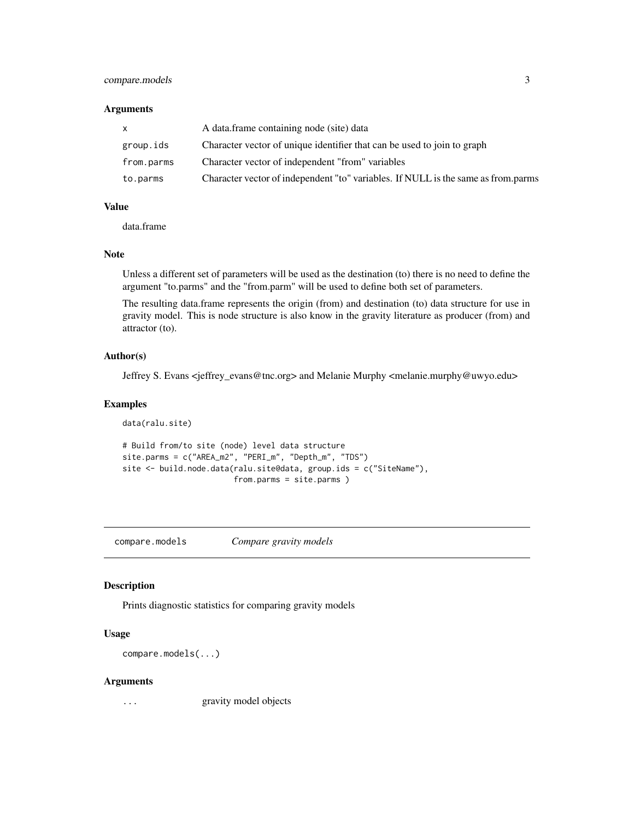# <span id="page-2-0"></span>compare.models 3

#### Arguments

|            | A data.frame containing node (site) data                                          |
|------------|-----------------------------------------------------------------------------------|
| group.ids  | Character vector of unique identifier that can be used to join to graph           |
| from.parms | Character vector of independent "from" variables                                  |
| to.parms   | Character vector of independent "to" variables. If NULL is the same as from parms |

#### Value

data.frame

#### Note

Unless a different set of parameters will be used as the destination (to) there is no need to define the argument "to.parms" and the "from.parm" will be used to define both set of parameters.

The resulting data.frame represents the origin (from) and destination (to) data structure for use in gravity model. This is node structure is also know in the gravity literature as producer (from) and attractor (to).

# Author(s)

Jeffrey S. Evans <jeffrey\_evans@tnc.org> and Melanie Murphy <melanie.murphy@uwyo.edu>

#### Examples

```
data(ralu.site)
# Build from/to site (node) level data structure
site.parms = c("AREA_m2", "PERI_m", "Depth_m", "TDS")
site <- build.node.data(ralu.site@data, group.ids = c("SiteName"),
                        from.parms = site.parms )
```
compare.models *Compare gravity models*

# Description

Prints diagnostic statistics for comparing gravity models

#### Usage

compare.models(...)

#### Arguments

... gravity model objects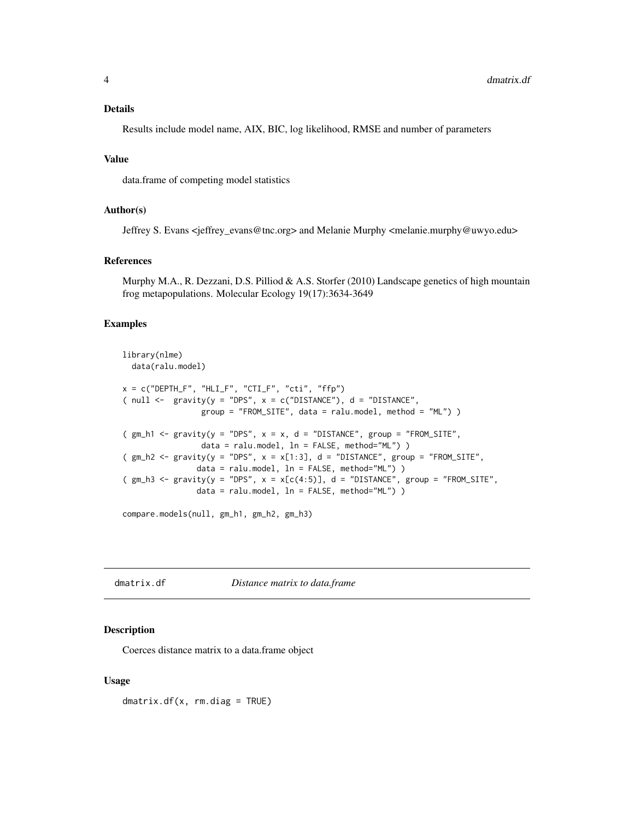#### <span id="page-3-0"></span>Details

Results include model name, AIX, BIC, log likelihood, RMSE and number of parameters

### Value

data.frame of competing model statistics

#### Author(s)

Jeffrey S. Evans <jeffrey\_evans@tnc.org> and Melanie Murphy <melanie.murphy@uwyo.edu>

#### References

Murphy M.A., R. Dezzani, D.S. Pilliod & A.S. Storfer (2010) Landscape genetics of high mountain frog metapopulations. Molecular Ecology 19(17):3634-3649

# Examples

```
library(nlme)
 data(ralu.model)
x = c("DEPTH_F", "HLI_F", "CTI_F", "cti", "ffp")( null \leftarrow gravity(y = "DPS", x = c("DISTANCE"), d = "DISTANCE",
                 group = "FROM_SITE", data = ralu.model, method = "ML") )
(gm_h1 \leq gravity(y = "DPS", x = x, d = "DISTANCE", group = "FROM_SITE",data = ralu.model, ln = FALSE, method="ML") )
(gm_h2 \leq - gravity(y = "DPS", x = x[1:3], d = "DISTANCE", group = "FROM_SITE",
                data = ralu.model, ln = FALSE, method="ML") )
(gm_h3 \leq gravity(y = "DPS", x = x[c(4:5)], d = "DISTANCE", group = "FROM_SITE",data = ralu.model, ln = FALSE, method="ML") )
```
compare.models(null, gm\_h1, gm\_h2, gm\_h3)

dmatrix.df *Distance matrix to data.frame*

#### Description

Coerces distance matrix to a data.frame object

#### Usage

dmatrix.df(x, rm.diag = TRUE)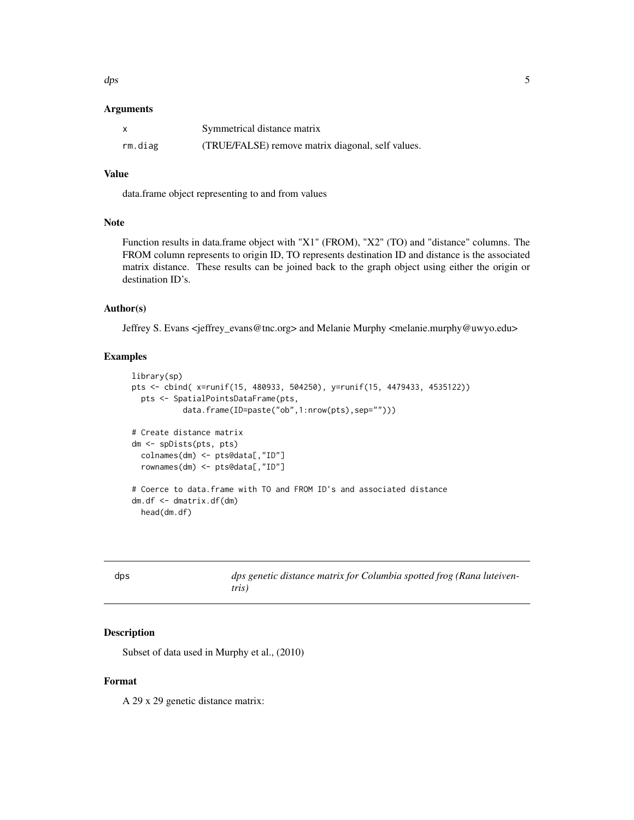<span id="page-4-0"></span> $\Delta p$ s 5

#### Arguments

| x       | Symmetrical distance matrix                       |
|---------|---------------------------------------------------|
| rm.diag | (TRUE/FALSE) remove matrix diagonal, self values. |

#### Value

data.frame object representing to and from values

# Note

Function results in data.frame object with "X1" (FROM), "X2" (TO) and "distance" columns. The FROM column represents to origin ID, TO represents destination ID and distance is the associated matrix distance. These results can be joined back to the graph object using either the origin or destination ID's.

#### Author(s)

Jeffrey S. Evans <jeffrey\_evans@tnc.org> and Melanie Murphy <melanie.murphy@uwyo.edu>

#### Examples

```
library(sp)
pts <- cbind( x=runif(15, 480933, 504250), y=runif(15, 4479433, 4535122))
 pts <- SpatialPointsDataFrame(pts,
           data.frame(ID=paste("ob",1:nrow(pts),sep="")))
# Create distance matrix
dm <- spDists(pts, pts)
  colnames(dm) <- pts@data[,"ID"]
  rownames(dm) <- pts@data[,"ID"]
# Coerce to data.frame with TO and FROM ID's and associated distance
dm.df <- dmatrix.df(dm)
 head(dm.df)
```
dps *dps genetic distance matrix for Columbia spotted frog (Rana luteiventris)*

# Description

Subset of data used in Murphy et al., (2010)

# Format

A 29 x 29 genetic distance matrix: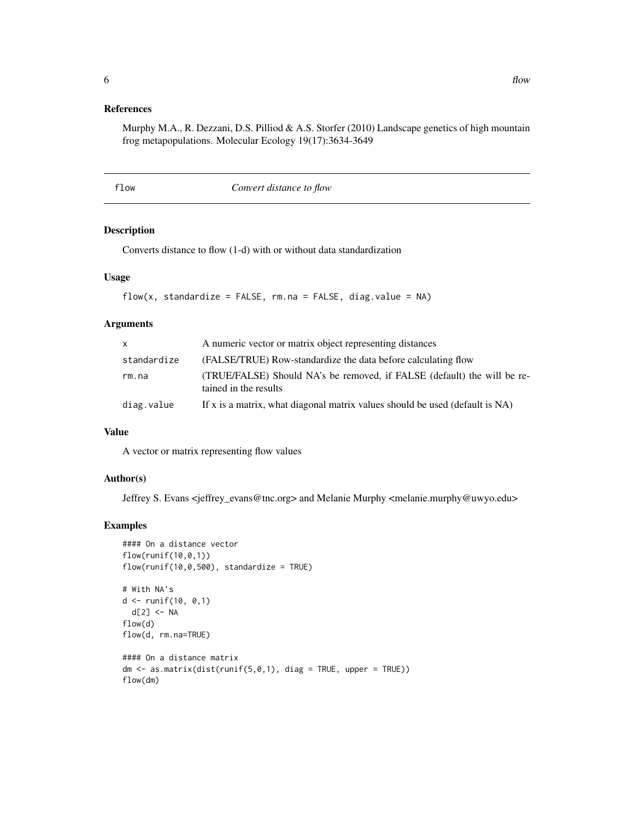# <span id="page-5-0"></span>References

Murphy M.A., R. Dezzani, D.S. Pilliod & A.S. Storfer (2010) Landscape genetics of high mountain frog metapopulations. Molecular Ecology 19(17):3634-3649

flow *Convert distance to flow*

# Description

Converts distance to flow (1-d) with or without data standardization

#### Usage

```
flow(x, standardize = FALSE, rm.na = FALSE, diag.value = NA)
```
# Arguments

| X           | A numeric vector or matrix object representing distances                                         |
|-------------|--------------------------------------------------------------------------------------------------|
| standardize | (FALSE/TRUE) Row-standardize the data before calculating flow                                    |
| rm.na       | (TRUE/FALSE) Should NA's be removed, if FALSE (default) the will be re-<br>tained in the results |
| diag.value  | If x is a matrix, what diagonal matrix values should be used (default is NA)                     |

# Value

A vector or matrix representing flow values

# Author(s)

Jeffrey S. Evans <jeffrey\_evans@tnc.org> and Melanie Murphy <melanie.murphy@uwyo.edu>

# Examples

```
#### On a distance vector
flow(runif(10,0,1))flow(runif(10,0,500), standardize = TRUE)
# With NA's
d <- runif(10, 0,1)
 d[2] < -NAflow(d)
flow(d, rm.na=TRUE)
#### On a distance matrix
dm \leq as.matrix(dist(runif(5,0,1), diag = TRUE, upper = TRUE))flow(dm)
```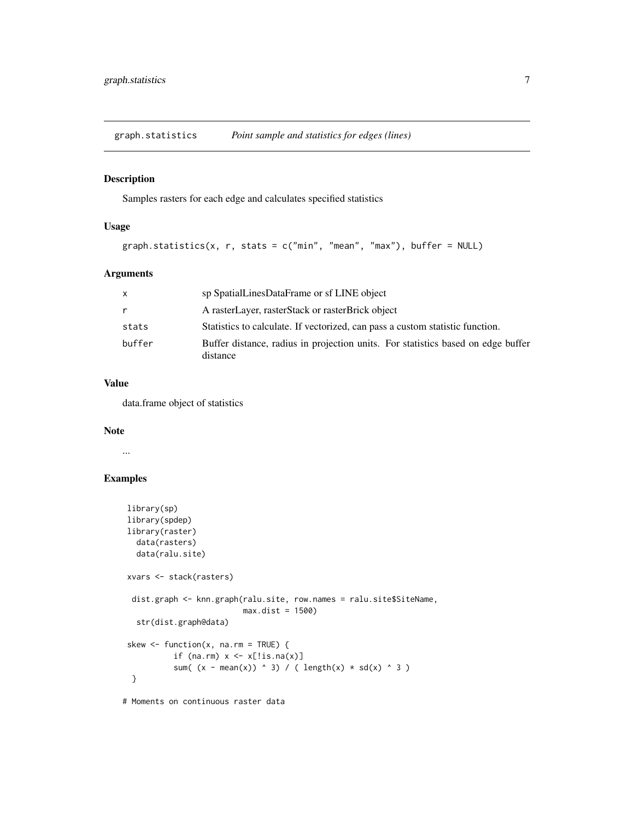<span id="page-6-0"></span>graph.statistics *Point sample and statistics for edges (lines)*

#### Description

Samples rasters for each edge and calculates specified statistics

### Usage

```
graph.statistics(x, r, stats = c("min", "mean", "max"), buffer = NULL)
```
### Arguments

| X      | sp SpatialLinesDataFrame or sf LINE object                                                   |
|--------|----------------------------------------------------------------------------------------------|
| r      | A rasterLayer, rasterStack or rasterBrick object                                             |
| stats  | Statistics to calculate. If vectorized, can pass a custom statistic function.                |
| buffer | Buffer distance, radius in projection units. For statistics based on edge buffer<br>distance |

## Value

data.frame object of statistics

#### Note

...

# Examples

```
library(sp)
library(spdep)
library(raster)
 data(rasters)
 data(ralu.site)
xvars <- stack(rasters)
 dist.graph <- knn.graph(ralu.site, row.names = ralu.site$SiteName,
                          max.dist = 1500)
 str(dist.graph@data)
skew \leq function(x, na.rm = TRUE) {
          if (na.rm) x \leftarrow x[:is.na(x)]sum( (x - mean(x)) ^ 3) / ( length(x) * sd(x) ^ 3 )
 }
```
# Moments on continuous raster data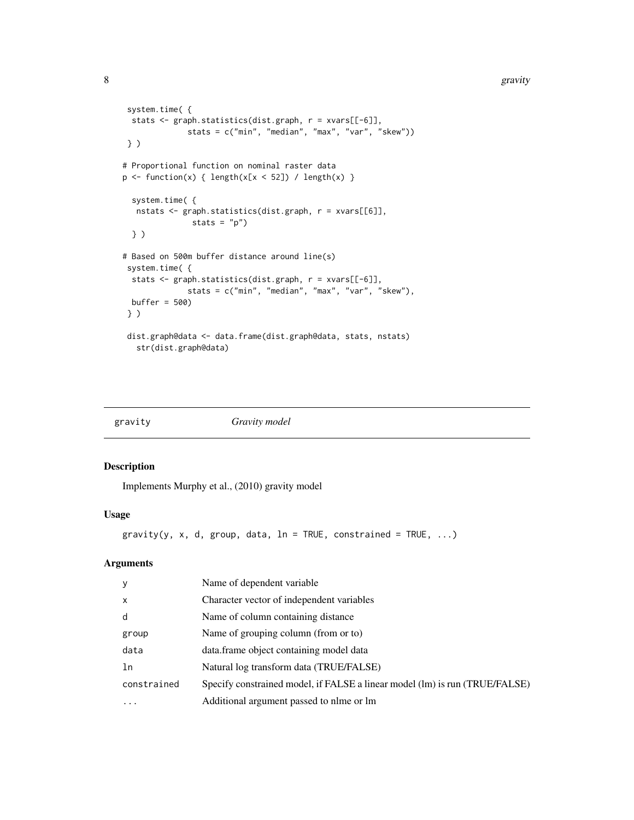```
system.time( {
 stats <- graph.statistics(dist.graph, r = xvars[[-6]],
              stats = c("min", "median", "max", "var", "skew"))
} )
# Proportional function on nominal raster data
p \leftarrow function(x) \{ length(x[x < 52]) / length(x) \}system.time( {
  nstats <- graph.statistics(dist.graph, r = xvars[[6]],
              stats = "p")} )
# Based on 500m buffer distance around line(s)
system.time( {
 stats <- graph.statistics(dist.graph, r = xvars[[-6]],
              stats = c("min", "median", "max", "var", "skew"),
 buffer = 500)
} )
dist.graph@data <- data.frame(dist.graph@data, stats, nstats)
  str(dist.graph@data)
```

| gravity | Gravity model |
|---------|---------------|
|         |               |

Implements Murphy et al., (2010) gravity model

# Usage

```
gravity(y, x, d, group, data, ln = TRUE, constrained = TRUE, ...)
```

| y            | Name of dependent variable                                                  |
|--------------|-----------------------------------------------------------------------------|
| $\mathsf{x}$ | Character vector of independent variables                                   |
| d            | Name of column containing distance                                          |
| group        | Name of grouping column (from or to)                                        |
| data         | data.frame object containing model data                                     |
| ln           | Natural log transform data (TRUE/FALSE)                                     |
| constrained  | Specify constrained model, if FALSE a linear model (lm) is run (TRUE/FALSE) |
| $\ddots$ .   | Additional argument passed to nlme or lm                                    |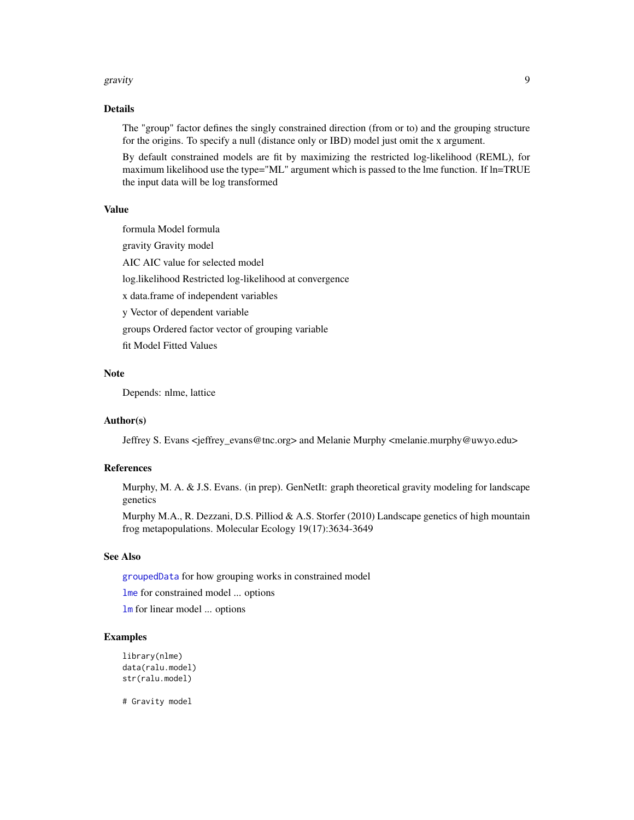#### <span id="page-8-0"></span>gravity **9**

#### Details

The "group" factor defines the singly constrained direction (from or to) and the grouping structure for the origins. To specify a null (distance only or IBD) model just omit the x argument.

By default constrained models are fit by maximizing the restricted log-likelihood (REML), for maximum likelihood use the type="ML" argument which is passed to the lme function. If ln=TRUE the input data will be log transformed

#### Value

formula Model formula gravity Gravity model AIC AIC value for selected model log.likelihood Restricted log-likelihood at convergence x data.frame of independent variables y Vector of dependent variable groups Ordered factor vector of grouping variable fit Model Fitted Values

#### **Note**

Depends: nlme, lattice

#### Author(s)

Jeffrey S. Evans <jeffrey\_evans@tnc.org> and Melanie Murphy <melanie.murphy@uwyo.edu>

# References

Murphy, M. A. & J.S. Evans. (in prep). GenNetIt: graph theoretical gravity modeling for landscape genetics

Murphy M.A., R. Dezzani, D.S. Pilliod & A.S. Storfer (2010) Landscape genetics of high mountain frog metapopulations. Molecular Ecology 19(17):3634-3649

#### See Also

[groupedData](#page-0-0) for how grouping works in constrained model

[lme](#page-0-0) for constrained model ... options

[lm](#page-0-0) for linear model ... options

# Examples

```
library(nlme)
data(ralu.model)
str(ralu.model)
```
# Gravity model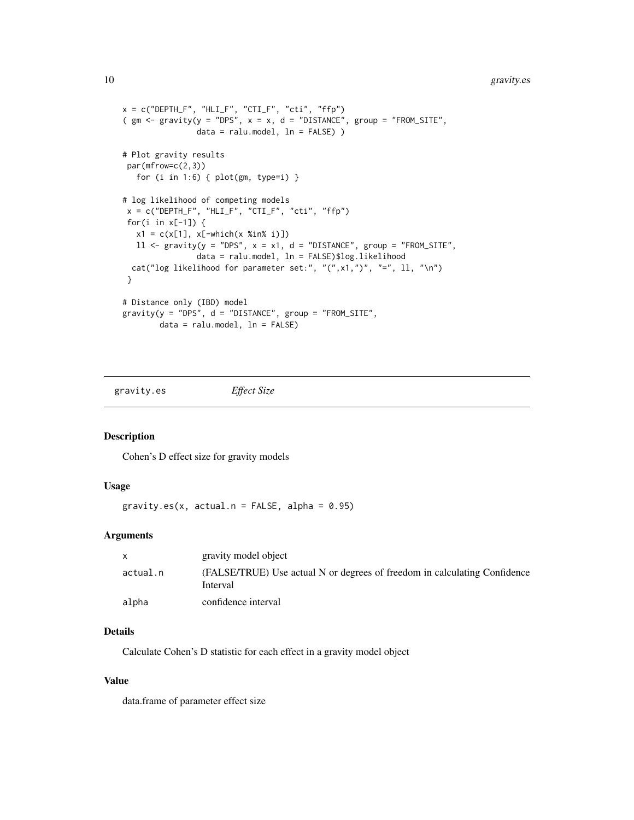```
x = c("DEPTH_F", "HLI_F", "CTI_F", "cti", "ffp")( gm \leq gravity(y = "DPS", x = x, d = "DISTANCE", group = "FROM_SITE",
               data = ralu.model, ln = FALSE) )
# Plot gravity results
par(mfrow=c(2,3))
  for (i in 1:6) { plot(gm, type=i) }
# log likelihood of competing models
x = c("DEPTH_F", "HLI_F", "CTI_F", "cti", "ffp")for(i in x[-1]) {
  x1 = c(x[1], x[-which(x %in % i)])11 \leq gravity(y = "DPS", x = x1, d = "DISTANCE", group = "FROM_SITE",
                data = ralu.model, ln = FALSE)$log.likelihood
 cat("log likelihood for parameter set:", "(",x1,")", "=", ll, "\n")
}
# Distance only (IBD) model
gravity(y = "DPS", d = "DISTANCE", group = "FROM_SITE",data = ralu.model, ln = FALSE)
```
gravity.es *Effect Size*

Description

Cohen's D effect size for gravity models

#### Usage

gravity.es(x, actual.n = FALSE, alpha =  $0.95$ )

#### Arguments

|          | gravity model object                                                                  |
|----------|---------------------------------------------------------------------------------------|
| actual.n | (FALSE/TRUE) Use actual N or degrees of freedom in calculating Confidence<br>Interval |
| alpha    | confidence interval                                                                   |

# Details

Calculate Cohen's D statistic for each effect in a gravity model object

#### Value

data.frame of parameter effect size

<span id="page-9-0"></span>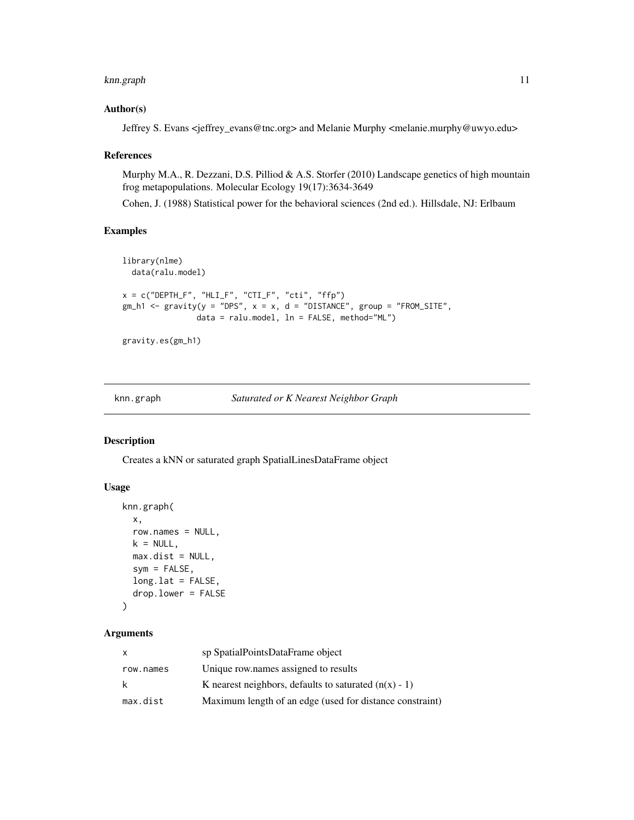#### <span id="page-10-0"></span>knn.graph 11

#### Author(s)

Jeffrey S. Evans <jeffrey\_evans@tnc.org> and Melanie Murphy <melanie.murphy@uwyo.edu>

#### References

Murphy M.A., R. Dezzani, D.S. Pilliod & A.S. Storfer (2010) Landscape genetics of high mountain frog metapopulations. Molecular Ecology 19(17):3634-3649

Cohen, J. (1988) Statistical power for the behavioral sciences (2nd ed.). Hillsdale, NJ: Erlbaum

#### Examples

```
library(nlme)
  data(ralu.model)
x = c("DEPTH_F", "HLI_F", "CTI_F", "cti", "ffp")gm_h1 <- gravity(y = "DPS", x = x, d = "DISTANCE", group = "FROM_SITE",
                data = ralu.model, ln = FALSE, method="ML")
```
gravity.es(gm\_h1)

#### knn.graph *Saturated or K Nearest Neighbor Graph*

#### Description

Creates a kNN or saturated graph SpatialLinesDataFrame object

#### Usage

```
knn.graph(
  x,
  row.names = NULL,
 k = NULL,max.dist = NULL,sym = FALSE,
  long.lat = FALSE,
  drop.lower = FALSE
\mathcal{L}
```

| x         | sp SpatialPointsDataFrame object                         |
|-----------|----------------------------------------------------------|
| row.names | Unique row names assigned to results                     |
| k.        | K nearest neighbors, defaults to saturated $(n(x) - 1)$  |
| max.dist  | Maximum length of an edge (used for distance constraint) |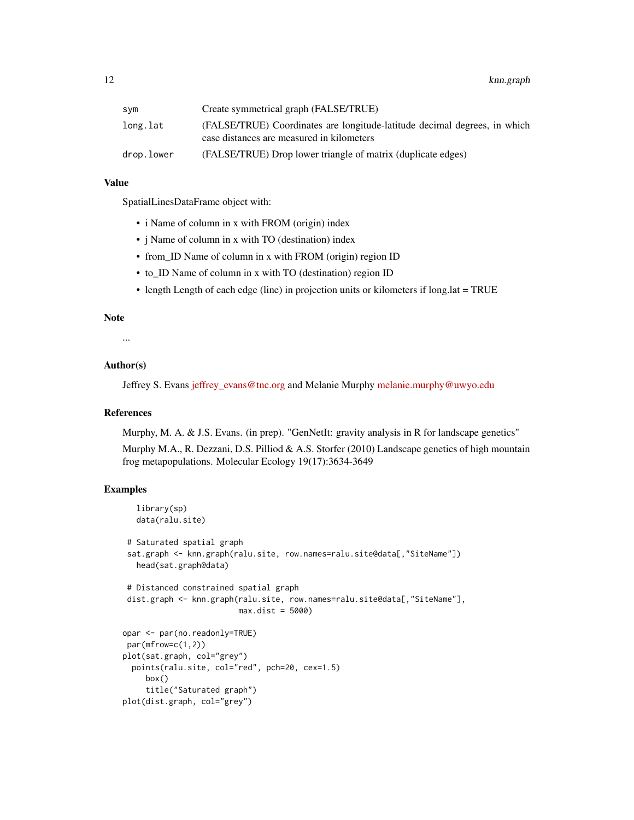| svm        | Create symmetrical graph (FALSE/TRUE)                                                                                  |
|------------|------------------------------------------------------------------------------------------------------------------------|
| long.lat   | (FALSE/TRUE) Coordinates are longitude-latitude decimal degrees, in which<br>case distances are measured in kilometers |
| drop.lower | (FALSE/TRUE) Drop lower triangle of matrix (duplicate edges)                                                           |

# Value

SpatialLinesDataFrame object with:

- i Name of column in x with FROM (origin) index
- j Name of column in x with TO (destination) index
- from\_ID Name of column in x with FROM (origin) region ID
- to\_ID Name of column in x with TO (destination) region ID
- length Length of each edge (line) in projection units or kilometers if long.lat = TRUE

# Note

...

# Author(s)

Jeffrey S. Evans [jeffrey\\_evans@tnc.org](mailto:jeffrey_evans@tnc.org) and Melanie Murphy [melanie.murphy@uwyo.edu](mailto:melanie.murphy@uwyo.edu)

#### References

Murphy, M. A. & J.S. Evans. (in prep). "GenNetIt: gravity analysis in R for landscape genetics"

Murphy M.A., R. Dezzani, D.S. Pilliod & A.S. Storfer (2010) Landscape genetics of high mountain frog metapopulations. Molecular Ecology 19(17):3634-3649

# Examples

```
library(sp)
  data(ralu.site)
 # Saturated spatial graph
 sat.graph <- knn.graph(ralu.site, row.names=ralu.site@data[,"SiteName"])
  head(sat.graph@data)
 # Distanced constrained spatial graph
dist.graph <- knn.graph(ralu.site, row.names=ralu.site@data[,"SiteName"],
                         max.dist = 5000)
opar <- par(no.readonly=TRUE)
par(mfrow=c(1,2))
plot(sat.graph, col="grey")
 points(ralu.site, col="red", pch=20, cex=1.5)
    box()
     title("Saturated graph")
plot(dist.graph, col="grey")
```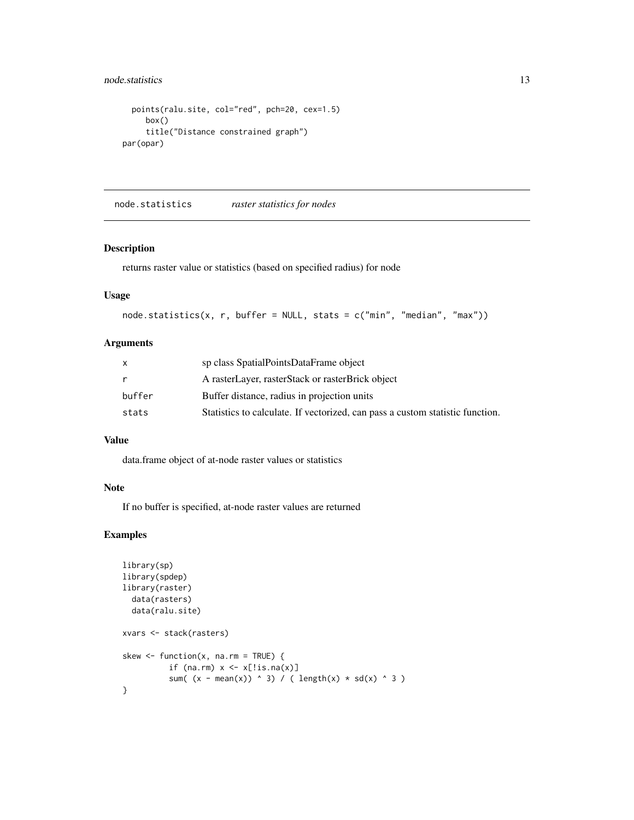# <span id="page-12-0"></span>node.statistics 13

```
points(ralu.site, col="red", pch=20, cex=1.5)
    box()
     title("Distance constrained graph")
par(opar)
```
node.statistics *raster statistics for nodes*

#### Description

returns raster value or statistics (based on specified radius) for node

# Usage

```
node.statistics(x, r, buffer = NULL, stats = c("min", "median", "max"))
```
### Arguments

|        | sp class SpatialPointsDataFrame object                                        |
|--------|-------------------------------------------------------------------------------|
|        | A rasterLayer, rasterStack or rasterBrick object                              |
| buffer | Buffer distance, radius in projection units                                   |
| stats  | Statistics to calculate. If vectorized, can pass a custom statistic function. |

# Value

data.frame object of at-node raster values or statistics

#### Note

If no buffer is specified, at-node raster values are returned

# Examples

```
library(sp)
library(spdep)
library(raster)
  data(rasters)
  data(ralu.site)
xvars <- stack(rasters)
skew \leq function(x, na.rm = TRUE) {
          if (na.rm) x \leftarrow x[:is.na(x)]sum( (x - mean(x)) ^ 3) / ( length(x) * sd(x) ^ 3 )
}
```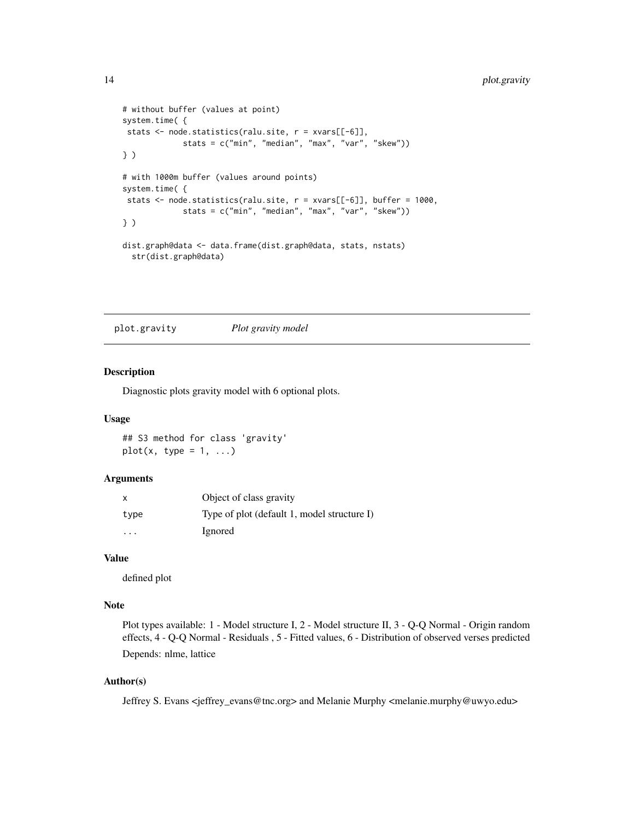```
# without buffer (values at point)
system.time( {
stats <- node.statistics(ralu.site, r = xvars[[-6]],
             stats = c("min", "median", "max", "var", "skew"))
} )
# with 1000m buffer (values around points)
system.time( {
stats \leq node.statistics(ralu.site, r = xvars[[-6]], buffer = 1000,
             stats = c("min", "median", "max", "var", "skew"))
} )
dist.graph@data <- data.frame(dist.graph@data, stats, nstats)
  str(dist.graph@data)
```

```
plot.gravity Plot gravity model
```
Diagnostic plots gravity model with 6 optional plots.

#### Usage

## S3 method for class 'gravity'  $plot(x, type = 1, ...)$ 

#### Arguments

| $\times$ | Object of class gravity                     |
|----------|---------------------------------------------|
| type     | Type of plot (default 1, model structure I) |
| .        | Ignored                                     |

# Value

defined plot

### Note

Plot types available: 1 - Model structure I, 2 - Model structure II, 3 - Q-Q Normal - Origin random effects, 4 - Q-Q Normal - Residuals , 5 - Fitted values, 6 - Distribution of observed verses predicted Depends: nlme, lattice

# Author(s)

Jeffrey S. Evans <jeffrey\_evans@tnc.org> and Melanie Murphy <melanie.murphy@uwyo.edu>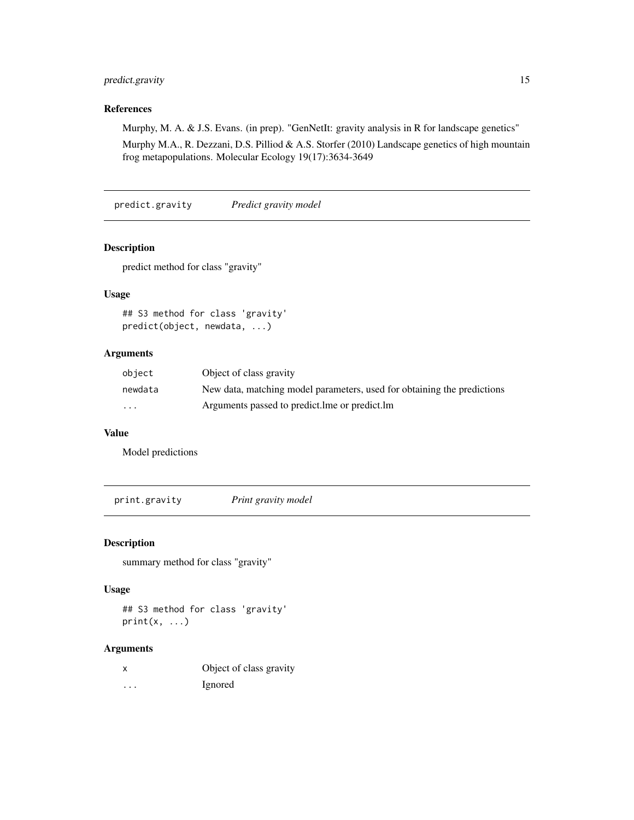# <span id="page-14-0"></span>predict.gravity 15

# References

Murphy, M. A. & J.S. Evans. (in prep). "GenNetIt: gravity analysis in R for landscape genetics"

Murphy M.A., R. Dezzani, D.S. Pilliod & A.S. Storfer (2010) Landscape genetics of high mountain frog metapopulations. Molecular Ecology 19(17):3634-3649

predict.gravity *Predict gravity model*

# Description

predict method for class "gravity"

# Usage

## S3 method for class 'gravity' predict(object, newdata, ...)

# Arguments

| object   | Object of class gravity                                                 |
|----------|-------------------------------------------------------------------------|
| newdata  | New data, matching model parameters, used for obtaining the predictions |
| $\cdots$ | Arguments passed to predict. Ime or predict. Im                         |

# Value

Model predictions

print.gravity *Print gravity model*

#### Description

summary method for class "gravity"

#### Usage

## S3 method for class 'gravity'  $print(x, \ldots)$ 

|   | Object of class gravity |
|---|-------------------------|
| . | Ignored                 |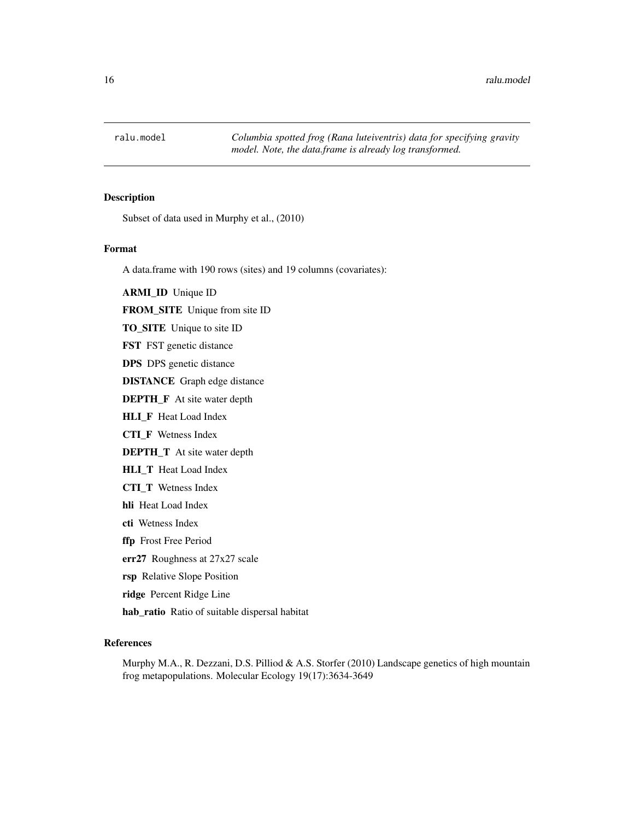<span id="page-15-0"></span>

Subset of data used in Murphy et al., (2010)

#### Format

A data.frame with 190 rows (sites) and 19 columns (covariates):

ARMI\_ID Unique ID

FROM\_SITE Unique from site ID

TO\_SITE Unique to site ID

FST FST genetic distance

DPS DPS genetic distance

DISTANCE Graph edge distance

DEPTH\_F At site water depth

HLI\_F Heat Load Index

CTI\_F Wetness Index

DEPTH\_T At site water depth

HLI\_T Heat Load Index

CTI\_T Wetness Index

- hli Heat Load Index
- cti Wetness Index

ffp Frost Free Period

err27 Roughness at 27x27 scale

rsp Relative Slope Position

ridge Percent Ridge Line

hab\_ratio Ratio of suitable dispersal habitat

# References

Murphy M.A., R. Dezzani, D.S. Pilliod & A.S. Storfer (2010) Landscape genetics of high mountain frog metapopulations. Molecular Ecology 19(17):3634-3649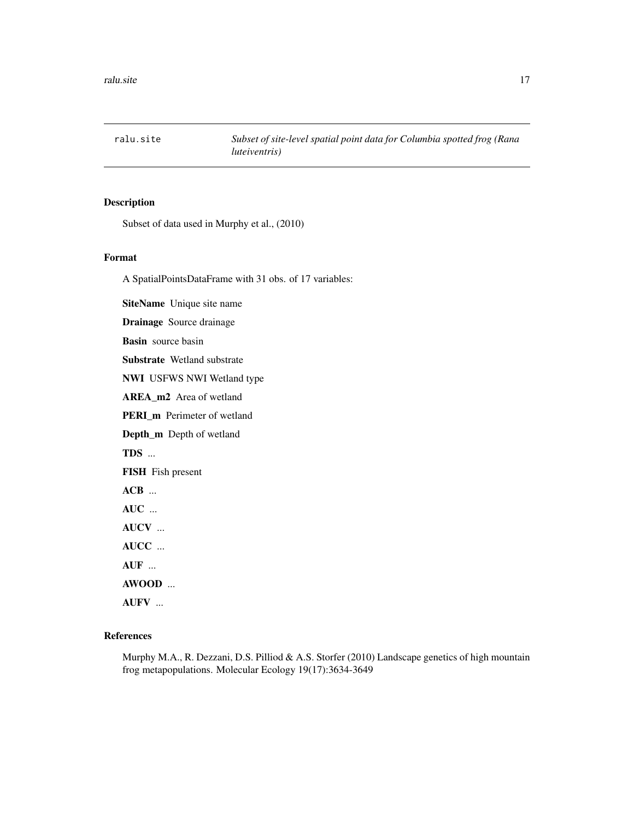<span id="page-16-0"></span>ralu.site *Subset of site-level spatial point data for Columbia spotted frog (Rana luteiventris)*

# Description

Subset of data used in Murphy et al., (2010)

#### Format

A SpatialPointsDataFrame with 31 obs. of 17 variables:

SiteName Unique site name

Drainage Source drainage

Basin source basin

Substrate Wetland substrate

NWI USFWS NWI Wetland type

AREA\_m2 Area of wetland

PERI\_m Perimeter of wetland

Depth\_m Depth of wetland

TDS ...

FISH Fish present

ACB ...

AUC ...

AUCV ...

AUCC ...

AUF ...

AWOOD ...

AUFV ...

# References

Murphy M.A., R. Dezzani, D.S. Pilliod & A.S. Storfer (2010) Landscape genetics of high mountain frog metapopulations. Molecular Ecology 19(17):3634-3649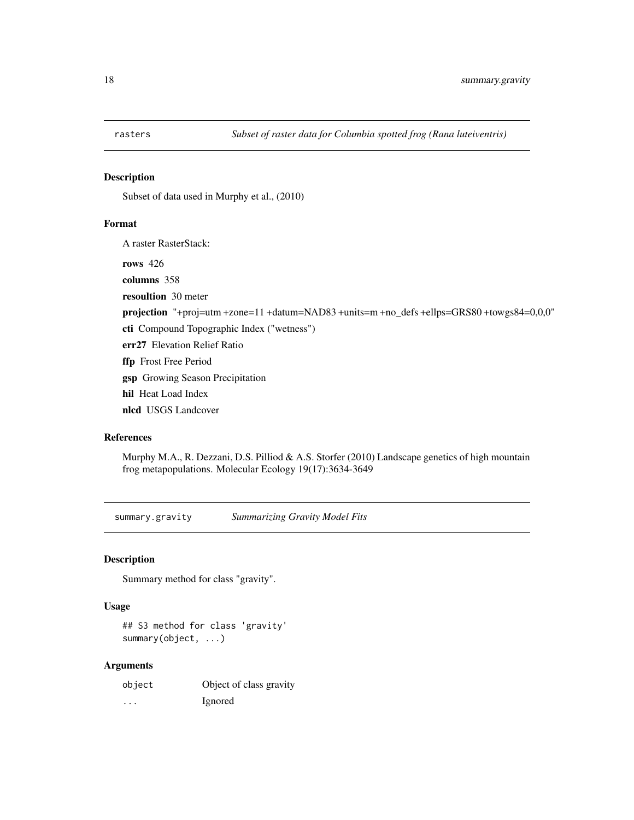<span id="page-17-0"></span>

Subset of data used in Murphy et al., (2010)

#### Format

A raster RasterStack:

rows 426

columns 358 resoultion 30 meter

projection "+proj=utm +zone=11 +datum=NAD83 +units=m +no\_defs +ellps=GRS80 +towgs84=0,0,0"

cti Compound Topographic Index ("wetness")

err27 Elevation Relief Ratio

ffp Frost Free Period

gsp Growing Season Precipitation

hil Heat Load Index

nlcd USGS Landcover

#### References

Murphy M.A., R. Dezzani, D.S. Pilliod & A.S. Storfer (2010) Landscape genetics of high mountain frog metapopulations. Molecular Ecology 19(17):3634-3649

summary.gravity *Summarizing Gravity Model Fits*

# Description

Summary method for class "gravity".

#### Usage

## S3 method for class 'gravity' summary(object, ...)

| object  | Object of class gravity |
|---------|-------------------------|
| $\cdot$ | Ignored                 |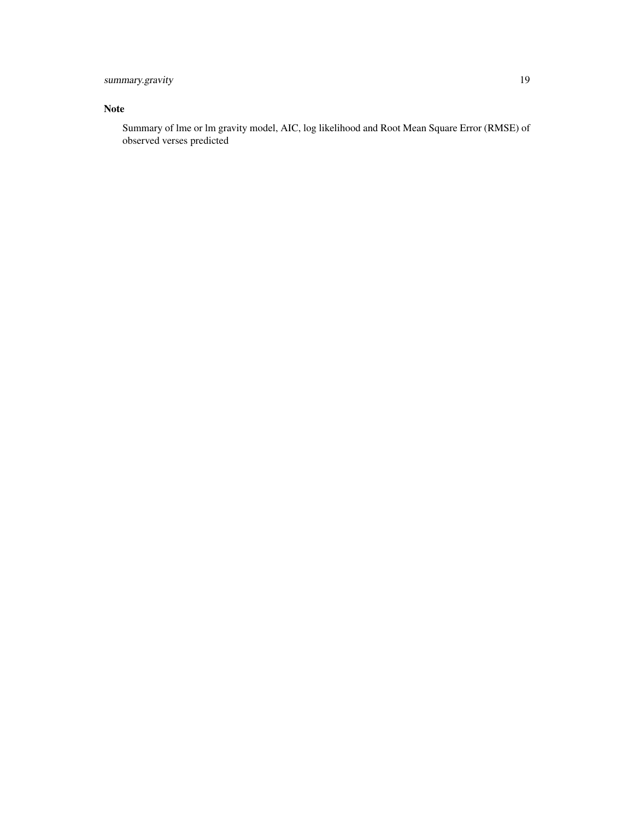# summary.gravity 19

# Note

Summary of lme or lm gravity model, AIC, log likelihood and Root Mean Square Error (RMSE) of observed verses predicted